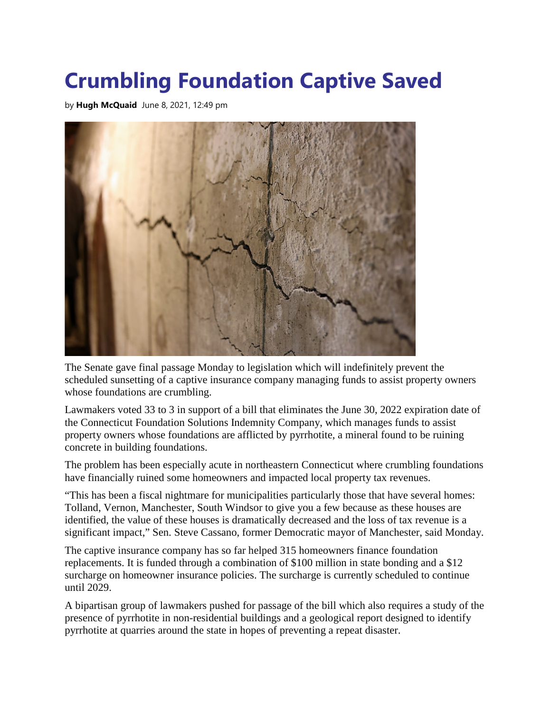## **Crumbling Foundation Captive Saved**

by **[Hugh McQuaid](https://ctnewsjunkie.com/author/hugh-mcquaid/)** June 8, 2021, 12:49 pm



The Senate gave final passage Monday to legislation which will indefinitely prevent the scheduled sunsetting of a captive insurance company managing funds to assist property owners whose foundations are crumbling.

Lawmakers voted 33 to 3 in support of a bill that eliminates the June 30, 2022 expiration date of the Connecticut Foundation Solutions Indemnity Company, which manages funds to assist property owners whose foundations are afflicted by pyrrhotite, a mineral found to be ruining concrete in building foundations.

The problem has been especially acute in northeastern Connecticut where crumbling foundations have financially ruined some homeowners and impacted local property tax revenues.

"This has been a fiscal nightmare for municipalities particularly those that have several homes: Tolland, Vernon, Manchester, South Windsor to give you a few because as these houses are identified, the value of these houses is dramatically decreased and the loss of tax revenue is a significant impact," Sen. Steve Cassano, former Democratic mayor of Manchester, said Monday.

The captive insurance company has so far helped 315 homeowners finance foundation replacements. It is funded through a combination of \$100 million in state bonding and a \$12 surcharge on homeowner insurance policies. The surcharge is currently scheduled to continue until 2029.

A bipartisan group of lawmakers pushed for passage of the bill which also requires a study of the presence of pyrrhotite in non-residential buildings and a geological report designed to identify pyrrhotite at quarries around the state in hopes of preventing a repeat disaster.